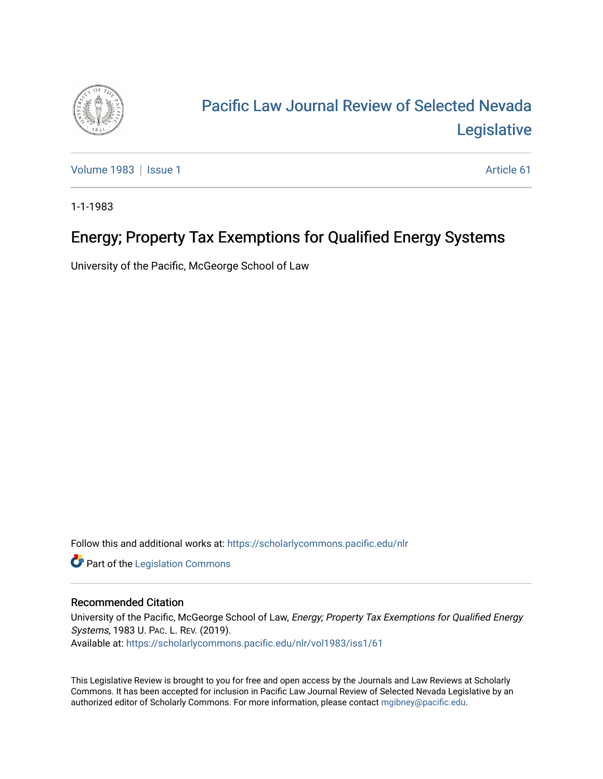

# [Pacific Law Journal Review of Selected Nevada](https://scholarlycommons.pacific.edu/nlr)  [Legislative](https://scholarlycommons.pacific.edu/nlr)

[Volume 1983](https://scholarlycommons.pacific.edu/nlr/vol1983) | [Issue 1](https://scholarlycommons.pacific.edu/nlr/vol1983/iss1) Article 61

1-1-1983

## Energy; Property Tax Exemptions for Qualified Energy Systems

University of the Pacific, McGeorge School of Law

Follow this and additional works at: [https://scholarlycommons.pacific.edu/nlr](https://scholarlycommons.pacific.edu/nlr?utm_source=scholarlycommons.pacific.edu%2Fnlr%2Fvol1983%2Fiss1%2F61&utm_medium=PDF&utm_campaign=PDFCoverPages) 

**Part of the [Legislation Commons](http://network.bepress.com/hgg/discipline/859?utm_source=scholarlycommons.pacific.edu%2Fnlr%2Fvol1983%2Fiss1%2F61&utm_medium=PDF&utm_campaign=PDFCoverPages)** 

### Recommended Citation

University of the Pacific, McGeorge School of Law, Energy; Property Tax Exemptions for Qualified Energy Systems, 1983 U. PAC. L. REV. (2019). Available at: [https://scholarlycommons.pacific.edu/nlr/vol1983/iss1/61](https://scholarlycommons.pacific.edu/nlr/vol1983/iss1/61?utm_source=scholarlycommons.pacific.edu%2Fnlr%2Fvol1983%2Fiss1%2F61&utm_medium=PDF&utm_campaign=PDFCoverPages)

This Legislative Review is brought to you for free and open access by the Journals and Law Reviews at Scholarly Commons. It has been accepted for inclusion in Pacific Law Journal Review of Selected Nevada Legislative by an authorized editor of Scholarly Commons. For more information, please contact [mgibney@pacific.edu](mailto:mgibney@pacific.edu).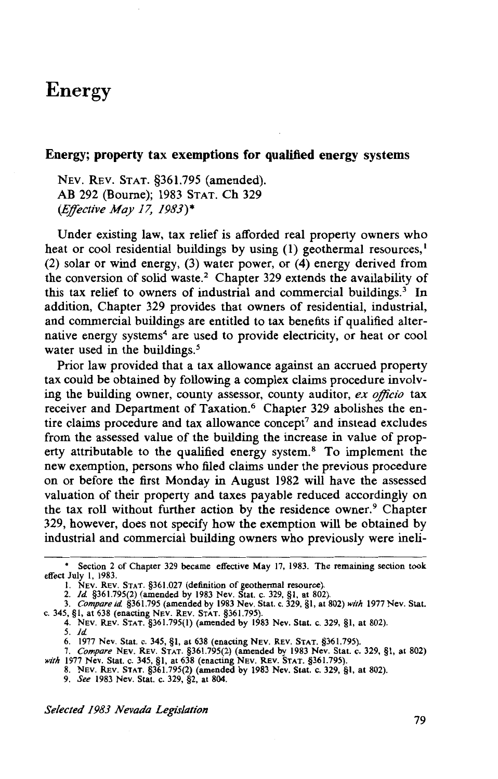### Energy

#### Energy; property tax exemptions for qualified energy systems

NEv. REv. STAT. §361.795 (amended). AB 292 (Bourne); 1983 STAT. Ch 329 *(Effective May 17, 1983)\** 

Under existing law, tax relief is afforded real property owners who heat or cool residential buildings by using  $(1)$  geothermal resources,<sup>1</sup> (2) solar or wind energy, (3) water power, or (4) energy derived from the conversion of solid waste.<sup>2</sup> Chapter 329 extends the availability of this tax relief to owners of industrial and commercial buildings.<sup>3</sup> In addition, Chapter 329 provides that owners of residential, industrial, and commercial buildings are entitled to tax benefits if qualified alternative energy systems<sup>4</sup> are used to provide electricity, or heat or cool water used in the buildings.<sup>5</sup>

Prior law provided that a tax allowance against an accrued property tax could be obtained by following a complex claims procedure involving the building owner, county assessor, county auditor, ex officio tax receiver and Department of Taxation.<sup>6</sup> Chapter 329 abolishes the entire claims procedure and tax allowance concept<sup>7</sup> and instead excludes from the assessed value of the building the increase in value of property attributable to the qualified energy system. 8 To implement the new exemption, persons who filed claims under the previous procedure on or before the first Monday in August 1982 will have the assessed valuation of their property and taxes payable reduced accordingly on the tax roll without further action by the residence owner.<sup>9</sup> Chapter 329, however, does not specify how the exemption will be obtained by industrial and commercial building owners who previously were ineli-

8. NEv. REv. STAT. §361.795(2) (amended by 1983 Nev. Stat. c. 329, §I, at 802).

9. *See* 1983 Nev. Stat. c. 329, §2, at 804.

*Selected 1983 Nevada Legislation* 

<sup>•</sup> Section 2 of Chapter 329 became effective May 17, 1983. The remaining section took effect July I, 1983.

I. NEV. REV. STAT. §361.027 (definition of geothermal resource). 2. *ld* §361.795(2) (amended by 1983 Nev. Stat. c. 329, §I, at 802).

<sup>3.</sup> *Compareid* §361.795 (amended by 1983 Nev. Stat. c. 329, §I, at 802) *with* 1977 Nev. Stat. c. 345, §1, at 638 (enacting NEV. REV. STAT. §361.795).

<sup>4.</sup> NEV. REv. STAT. §361.795(1) (amended by 1983 Nev. Stat. c. 329, §I, at 802).

*<sup>5.</sup> ld* 

<sup>6. 1977</sup> Nev. Stat. c. 345, §I, at 638 (enacting NEv. REv. STAT. §361.795).

<sup>7.</sup> *Compare* NEv. REV. STAT. §361.795(2) (amended by 1983 Nev. Stat. c. 329, §I, at 802) *with* 1977 Nev. Stat. c. 345, §1, at 638 (enacting NEV. REV. STAT. §361.795).